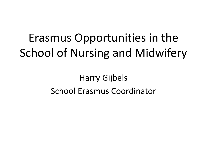# Erasmus Opportunities in the School of Nursing and Midwifery

#### Harry Gijbels School Erasmus Coordinator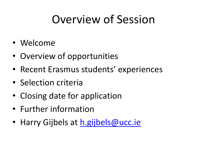#### Overview of Session

- Welcome
- Overview of opportunities
- Recent Erasmus students' experiences
- Selection criteria
- Closing date for application
- Further information
- Harry Gijbels at [h.gijbels@ucc.ie](mailto:h.gijbels@ucc.ie)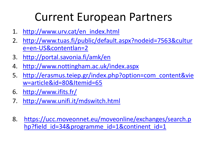#### Current European Partners

- 1. [http://www.urv.cat/en\\_index.html](http://www.urv.cat/en_index.html)
- 2. [http://www.tuas.fi/public/default.aspx?nodeid=7563&cultur](http://www.tuas.fi/public/default.aspx?nodeid=7563&culture=en-US&contentlan=2) [e=en-US&contentlan=2](http://www.tuas.fi/public/default.aspx?nodeid=7563&culture=en-US&contentlan=2)
- 3. <http://portal.savonia.fi/amk/en>
- 4. <http://www.nottingham.ac.uk/index.aspx>
- 5. [http://erasmus.teiep.gr/index.php?option=com\\_content&vie](http://erasmus.teiep.gr/index.php?option=com_content&view=article&id=80&Itemid=65) [w=article&id=80&Itemid=65](http://erasmus.teiep.gr/index.php?option=com_content&view=article&id=80&Itemid=65)
- 6. <http://www.ifits.fr/>
- 7. <http://www.unifi.it/mdswitch.html>
- 8. [https://ucc.moveonnet.eu/moveonline/exchanges/search.p](https://ucc.moveonnet.eu/moveonline/exchanges/search.php?field_id=34&programme_id=1&continent_id=1) [hp?field\\_id=34&programme\\_id=1&continent\\_id=1](https://ucc.moveonnet.eu/moveonline/exchanges/search.php?field_id=34&programme_id=1&continent_id=1)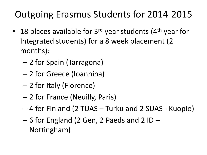#### Outgoing Erasmus Students for 2014-2015

- 18 places available for  $3^{rd}$  year students (4<sup>th</sup> year for Integrated students) for a 8 week placement (2 months):
	- 2 for Spain (Tarragona)
	- 2 for Greece (Ioannina)
	- 2 for Italy (Florence)
	- 2 for France (Neuilly, Paris)
	- 4 for Finland (2 TUAS Turku and 2 SUAS Kuopio)
	- 6 for England (2 Gen, 2 Paeds and 2 ID Nottingham)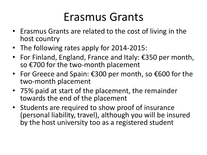#### Erasmus Grants

- Erasmus Grants are related to the cost of living in the host country
- The following rates apply for 2014-2015:
- For Finland, England, France and Italy: €350 per month, so €700 for the two-month placement
- For Greece and Spain: €300 per month, so €600 for the two-month placement
- 75% paid at start of the placement, the remainder towards the end of the placement
- Students are required to show proof of insurance (personal liability, travel), although you will be insured by the host university too as a registered student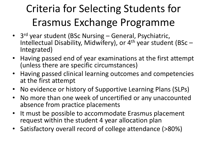# Criteria for Selecting Students for Erasmus Exchange Programme

- 3<sup>rd</sup> year student (BSc Nursing General, Psychiatric, Intellectual Disability, Midwifery), or  $4<sup>th</sup>$  year student (BSc – Integrated)
- Having passed end of year examinations at the first attempt (unless there are specific circumstances)
- Having passed clinical learning outcomes and competencies at the first attempt
- No evidence or history of Supportive Learning Plans (SLPs)
- No more than one week of uncertified or any unaccounted absence from practice placements
- It must be possible to accommodate Erasmus placement request within the student 4 year allocation plan
- Satisfactory overall record of college attendance (>80%)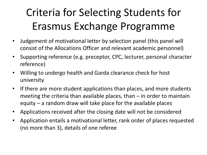### Criteria for Selecting Students for Erasmus Exchange Programme

- Judgement of motivational letter by selection panel (this panel will consist of the Allocations Officer and relevant academic personnel)
- Supporting reference (e.g. preceptor, CPC, lecturer, personal character reference)
- Willing to undergo health and Garda clearance check for host university
- If there are more student applications than places, and more students meeting the criteria than available places, than  $-$  in order to maintain equity – a random draw will take place for the available places
- Applications received after the closing date will not be considered
- Application entails a motivational letter, rank order of places requested (no more than 3), details of one referee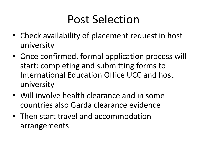#### Post Selection

- Check availability of placement request in host university
- Once confirmed, formal application process will start: completing and submitting forms to International Education Office UCC and host university
- Will involve health clearance and in some countries also Garda clearance evidence
- Then start travel and accommodation arrangements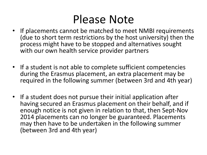#### Please Note

- If placements cannot be matched to meet NMBI requirements (due to short term restrictions by the host university) then the process might have to be stopped and alternatives sought with our own health service provider partners
- If a student is not able to complete sufficient competencies during the Erasmus placement, an extra placement may be required in the following summer (between 3rd and 4th year)
- If a student does not pursue their initial application after having secured an Erasmus placement on their behalf, and if enough notice is not given in relation to that, then Sept-Nov 2014 placements can no longer be guaranteed. Placements may then have to be undertaken in the following summer (between 3rd and 4th year)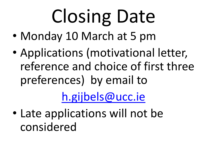# Closing Date

- Monday 10 March at 5 pm
- Applications (motivational letter, reference and choice of first three preferences) by email to

## [h.gijbels@ucc.ie](mailto:h.gijbels@ucc.ie)

• Late applications will not be considered